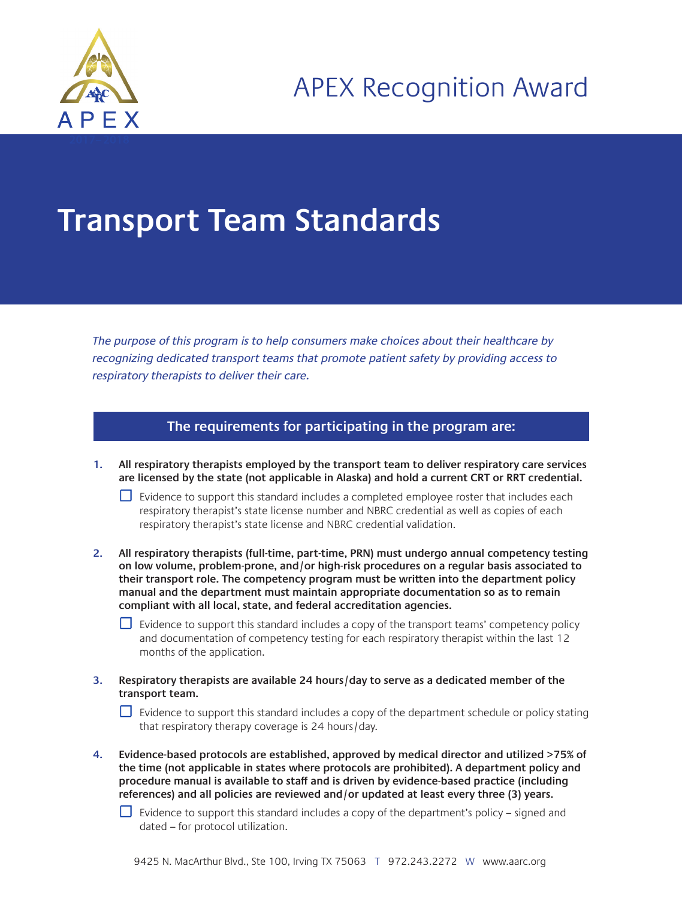

## **Transport Team Standards**

The purpose of this program is to help consumers make choices about their healthcare by recognizing dedicated transport teams that promote patient safety by providing access to respiratory therapists to deliver their care.

## **The requirements for participating in the program are:**

**1. All respiratory therapists employed by the transport team to deliver respiratory care services are licensed by the state (not applicable in Alaska) and hold a current CRT or RRT credential.**

 $□$  Evidence to support this standard includes a completed employee roster that includes each respiratory therapist's state license number and NBRC credential as well as copies of each respiratory therapist's state license and NBRC credential validation.

**2. All respiratory therapists (full-time, part-time, PRN) must undergo annual competency testing on low volume, problem-prone, and/or high-risk procedures on a regular basis associated to their transport role. The competency program must be written into the department policy manual and the department must maintain appropriate documentation so as to remain compliant with all local, state, and federal accreditation agencies.** 

 $□$  Evidence to support this standard includes a copy of the transport teams' competency policy and documentation of competency testing for each respiratory therapist within the last 12 months of the application.

**3. Respiratory therapists are available 24 hours/day to serve as a dedicated member of the transport team.** 

 $\Box$  Evidence to support this standard includes a copy of the department schedule or policy stating that respiratory therapy coverage is 24 hours/day.

**4. Evidence-based protocols are established, approved by medical director and utilized >75% of the time (not applicable in states where protocols are prohibited). A department policy and procedure manual is available to staff and is driven by evidence-based practice (including references) and all policies are reviewed and/or updated at least every three (3) years.** 

 $\Box$  Evidence to support this standard includes a copy of the department's policy – signed and dated – for protocol utilization.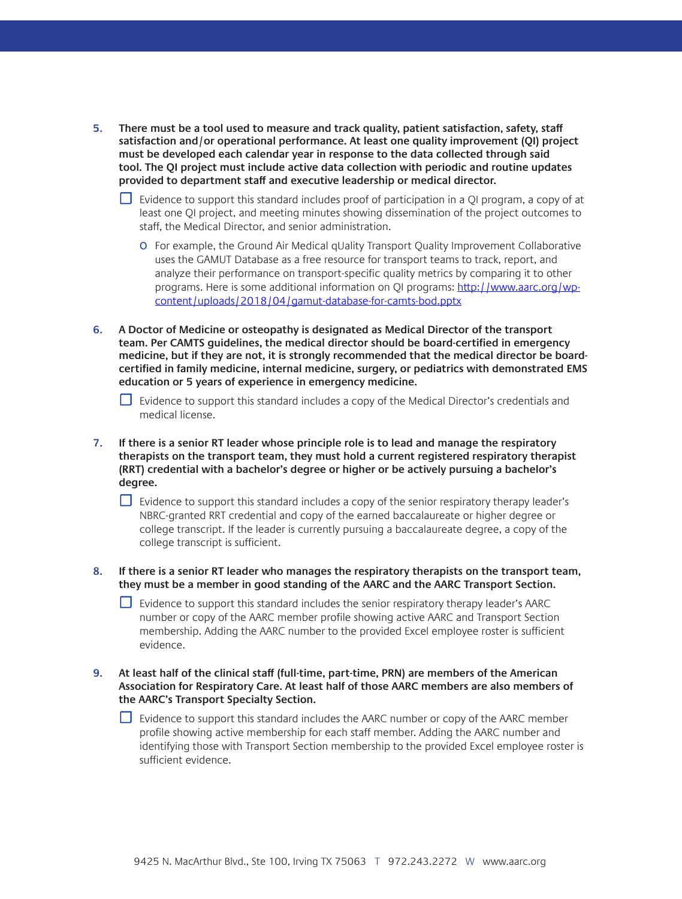- **5. There must be a tool used to measure and track quality, patient satisfaction, safety, staff satisfaction and/or operational performance. At least one quality improvement (QI) project must be developed each calendar year in response to the data collected through said tool. The QI project must include active data collection with periodic and routine updates provided to department staff and executive leadership or medical director.** 
	- $\Box$  Evidence to support this standard includes proof of participation in a QI program, a copy of at least one QI project, and meeting minutes showing dissemination of the project outcomes to staff, the Medical Director, and senior administration.
		- o For example, the Ground Air Medical qUality Transport Quality Improvement Collaborative uses the GAMUT Database as a free resource for transport teams to track, report, and analyze their performance on transport-specific quality metrics by comparing it to other programs. Here is some additional information on QI programs: [http://www.aarc.org/wp](http://www.aarc.org/wp-content/uploads/2018/04/gamut-database-for-camts-bod.pptx)[content/uploads/2018/04/gamut-database-for-camts-bod.pptx](http://www.aarc.org/wp-content/uploads/2018/04/gamut-database-for-camts-bod.pptx)
- **6. A Doctor of Medicine or osteopathy is designated as Medical Director of the transport team. Per CAMTS guidelines, the medical director should be board-certified in emergency medicine, but if they are not, it is strongly recommended that the medical director be boardcertified in family medicine, internal medicine, surgery, or pediatrics with demonstrated EMS education or 5 years of experience in emergency medicine.**

□ Evidence to support this standard includes a copy of the Medical Director's credentials and medical license.

**7. If there is a senior RT leader whose principle role is to lead and manage the respiratory therapists on the transport team, they must hold a current registered respiratory therapist (RRT) credential with a bachelor's degree or higher or be actively pursuing a bachelor's degree.** 

 $\Box$  Evidence to support this standard includes a copy of the senior respiratory therapy leader's NBRC-granted RRT credential and copy of the earned baccalaureate or higher degree or college transcript. If the leader is currently pursuing a baccalaureate degree, a copy of the college transcript is sufficient.

**8. If there is a senior RT leader who manages the respiratory therapists on the transport team, they must be a member in good standing of the AARC and the AARC Transport Section.** 

☐ Evidence to support this standard includes the senior respiratory therapy leader's AARC number or copy of the AARC member profile showing active AARC and Transport Section membership. Adding the AARC number to the provided Excel employee roster is sufficient evidence.

**9. At least half of the clinical staff (full-time, part-time, PRN) are members of the American Association for Respiratory Care. At least half of those AARC members are also members of the AARC's Transport Specialty Section.** 

 $\Box$  Evidence to support this standard includes the AARC number or copy of the AARC member profile showing active membership for each staff member. Adding the AARC number and identifying those with Transport Section membership to the provided Excel employee roster is sufficient evidence.